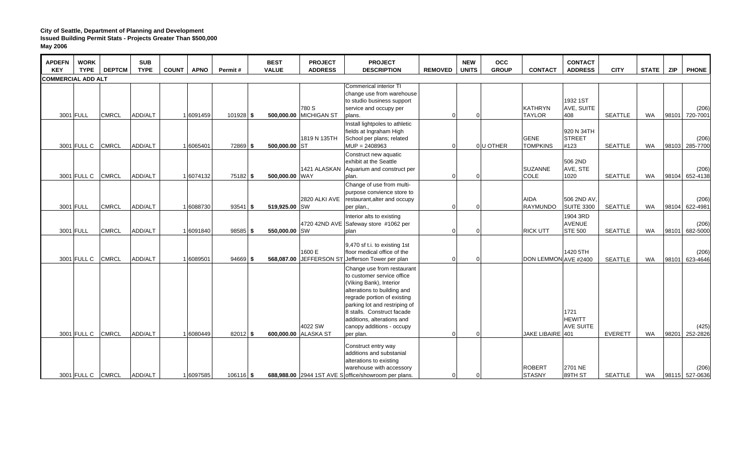| <b>APDEFN</b><br><b>KEY</b> | <b>WORK</b><br><b>TYPE</b> | <b>DEPTCM</b> | <b>SUB</b><br><b>TYPE</b> | <b>COUNT</b> | <b>APNO</b> | Permit#     | <b>BEST</b><br><b>VALUE</b> | <b>PROJECT</b><br><b>ADDRESS</b> | <b>PROJECT</b><br><b>DESCRIPTION</b>                                                                                                                                                                                                                                                     | <b>REMOVED</b> | <b>NEW</b><br><b>UNITS</b> | <b>OCC</b><br><b>GROUP</b> | <b>CONTACT</b>                  | <b>CONTACT</b><br><b>ADDRESS</b>            | <b>CITY</b>    | <b>STATE</b> | <b>ZIP</b> | <b>PHONE</b>            |
|-----------------------------|----------------------------|---------------|---------------------------|--------------|-------------|-------------|-----------------------------|----------------------------------|------------------------------------------------------------------------------------------------------------------------------------------------------------------------------------------------------------------------------------------------------------------------------------------|----------------|----------------------------|----------------------------|---------------------------------|---------------------------------------------|----------------|--------------|------------|-------------------------|
| <b>COMMERCIAL ADD ALT</b>   |                            |               |                           |              |             |             |                             |                                  |                                                                                                                                                                                                                                                                                          |                |                            |                            |                                 |                                             |                |              |            |                         |
| 3001 FULL                   |                            | <b>CMRCL</b>  | ADD/ALT                   |              | 1 6091459   | $101928$ \$ |                             | 780 S<br>500,000.00 MICHIGAN ST  | Commerical interior TI<br>change use from warehouse<br>to studio business support<br>service and occupy per<br>plans.                                                                                                                                                                    | $\Omega$       | $\Omega$                   |                            | <b>KATHRYN</b><br><b>TAYLOR</b> | 1932 1ST<br>AVE, SUITE<br>408               | <b>SEATTLE</b> | <b>WA</b>    | 98101      | (206)<br>720-7001       |
|                             | 3001 FULL C                | <b>CMRCL</b>  | ADD/ALT                   |              | 1 6065401   | 72869 \$    | 500,000,00 ST               | 1819 N 135TH                     | Install lightpoles to athletic<br>fields at Ingraham High<br>School per plans; related<br>$MUP = 2408963$                                                                                                                                                                                | $\Omega$       |                            | 0U OTHER                   | <b>GENE</b><br><b>TOMPKINS</b>  | 920 N 34TH<br><b>STREET</b><br>#123         | <b>SEATTLE</b> | <b>WA</b>    |            | (206)<br>98103 285-7700 |
|                             | 3001 FULL C                | <b>CMRCL</b>  | ADD/ALT                   |              | 1 6074132   | 75182 \$    | 500,000.00 WAY              |                                  | Construct new aquatic<br>exhibit at the Seattle<br>1421 ALASKAN Aquarium and construct per<br>plan.                                                                                                                                                                                      | 0              | $\Omega$                   |                            | <b>SUZANNE</b><br><b>COLE</b>   | 506 2ND<br>AVE, STE<br>1020                 | <b>SEATTLE</b> | <b>WA</b>    |            | (206)<br>98104 652-4138 |
|                             | 3001 FULL                  | <b>CMRCL</b>  | ADD/ALT                   |              | 1 6088730   | $93541$ \$  | 519,925.00 SW               | 2820 ALKI AVE                    | Change of use from multi-<br>purpose convience store to<br>restaurant, alter and occupy<br>per plan.,                                                                                                                                                                                    | $\Omega$       | $\Omega$                   |                            | AIDA<br>RAYMUNDO                | 506 2ND AV<br><b>SUITE 3300</b>             | <b>SEATTLE</b> | <b>WA</b>    |            | (206)<br>98104 622-4981 |
|                             | 3001 FULL                  | <b>CMRCL</b>  | ADD/ALT                   |              | 1 6091840   | $98585$ \$  | 550,000.00 SW               |                                  | Interior alts to existing<br>4720 42ND AVE Safeway store #1062 per<br>plan                                                                                                                                                                                                               | ∩              | $\Omega$                   |                            | <b>RICK UTT</b>                 | 1904 3RD<br><b>AVENUE</b><br><b>STE 500</b> | <b>SEATTLE</b> | <b>WA</b>    |            | (206)<br>98101 682-5000 |
|                             | 3001 FULL C                | <b>CMRCL</b>  | ADD/ALT                   |              | 1 6089501   | $94669$ \$  |                             | 1600 E                           | 9,470 sf t.i. to existing 1st<br>floor medical office of the<br>568,087.00 JEFFERSON ST Jefferson Tower per plan                                                                                                                                                                         | $\Omega$       | $\overline{0}$             |                            | DON LEMMON AVE #2400            | 1420 5TH                                    | <b>SEATTLE</b> | <b>WA</b>    | 98101      | (206)<br>623-4646       |
|                             | 3001 FULL C                | <b>CMRCL</b>  | ADD/ALT                   |              | 1 6080449   | $82012$ \$  |                             | 4022 SW<br>600,000.00 ALASKA ST  | Change use from restaurant<br>to customer service office<br>(Viking Bank), Interior<br>alterations to building and<br>regrade portion of existing<br>parking lot and restriping of<br>8 stalls. Construct facade<br>additions, alterations and<br>canopy additions - occupy<br>per plan. | $\Omega$       | $\mathbf{0}$               |                            | JAKE LIBAIRE 401                | 1721<br><b>HEWITT</b><br><b>AVE SUITE</b>   | <b>EVERETT</b> | <b>WA</b>    | 98201      | (425)<br>252-2826       |
|                             | 3001 FULL C                | <b>CMRCL</b>  | ADD/ALT                   |              | 1 6097585   | $106116$ \$ |                             |                                  | Construct entry way<br>additions and substanial<br>alterations to existing<br>warehouse with accessory<br>688,988.00 2944 1ST AVE S office/showroom per plans.                                                                                                                           | $\Omega$       | $\mathbf 0$                |                            | <b>ROBERT</b><br><b>STASNY</b>  | 2701 NE<br>89TH ST                          | <b>SEATTLE</b> | <b>WA</b>    |            | (206)<br>98115 527-0636 |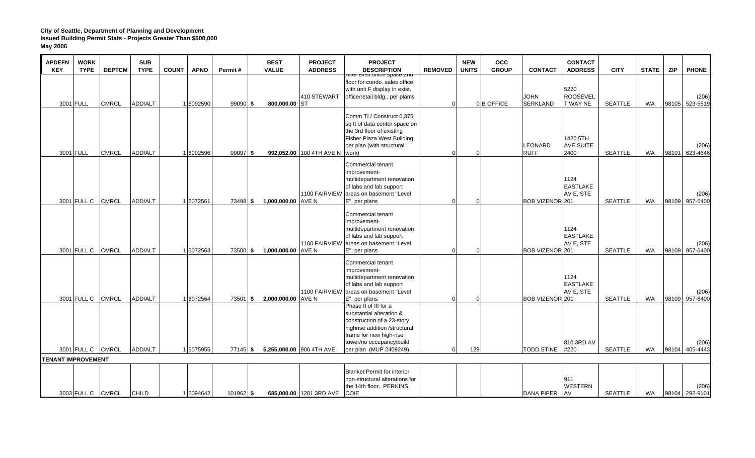| <b>APDEFN</b><br><b>KEY</b> | <b>WORK</b><br><b>TYPE</b> | <b>DEPTCM</b> | <b>SUB</b><br><b>TYPE</b> | <b>COUNT</b><br><b>APNO</b> | Permit#     | <b>BEST</b><br><b>VALUE</b> | <b>PROJECT</b><br><b>ADDRESS</b> | <b>PROJECT</b><br><b>DESCRIPTION</b>                                                                                                                                                              | <b>REMOVED</b> | <b>NEW</b><br><b>UNITS</b> | <b>OCC</b><br><b>GROUP</b> | <b>CONTACT</b>                 | <b>CONTACT</b><br><b>ADDRESS</b>     | <b>CITY</b>    | <b>STATE</b> | <b>ZIP</b> | <b>PHONE</b>            |
|-----------------------------|----------------------------|---------------|---------------------------|-----------------------------|-------------|-----------------------------|----------------------------------|---------------------------------------------------------------------------------------------------------------------------------------------------------------------------------------------------|----------------|----------------------------|----------------------------|--------------------------------|--------------------------------------|----------------|--------------|------------|-------------------------|
|                             | 3001 FULL                  | <b>CMRCL</b>  | <b>ADD/ALT</b>            | 1 6092590                   | $99090$ \$  | 800,000.00 ST               | 410 STEWART                      | Alter exist.office space znd<br>floor for condo. sales office<br>with unit F display in exist.<br>office/retail bldg., per plams                                                                  | $\Omega$       |                            | 0 B OFFICE                 | <b>JOHN</b><br><b>SERKLAND</b> | 5220<br>ROOSEVEL<br>T WAY NE         | <b>SEATTLE</b> | <b>WA</b>    |            | (206)<br>98105 523-5519 |
|                             | 3001 FULL                  | <b>CMRCL</b>  | ADD/ALT                   | 1 6092596                   | $99097$ \$  |                             | 992,052.00 100 4TH AVE N work)   | Comm TI / Construct 6,375<br>sq ft of data center space on<br>the 3rd floor of existing<br>Fisher Plaza West Building<br>per plan (with structural                                                | $\Omega$       | $\Omega$                   |                            | LEONARD<br><b>RUFF</b>         | 1420 5TH<br><b>AVE SUITE</b><br>2400 | <b>SEATTLE</b> | WA           | 98101      | (206)<br>623-4646       |
|                             | 3001 FULL C                | <b>CMRCL</b>  | <b>ADD/ALT</b>            | 1 6072561                   | 73498 \$    | 1,000,000.00 AVE N          |                                  | Commercial tenant<br>improvement-<br>multidepartment renovation<br>of labs and lab support<br>1100 FAIRVIEW areas on basement "Level<br>E", per plans                                             | $\Omega$       | $\Omega$                   |                            | BOB VIZENOR 201                | 1124<br><b>EASTLAKE</b><br>AV E, STE | <b>SEATTLE</b> | <b>WA</b>    |            | (206)<br>98109 957-6400 |
|                             | 3001 FULL C                | <b>CMRCL</b>  | ADD/ALT                   | 1 6072563                   | 73500 \$    | 1,000,000.00 AVE N          |                                  | Commercial tenant<br>improvement-<br>multidepartment renovation<br>of labs and lab support<br>1100 FAIRVIEW areas on basement "Level<br>E", per plans                                             | $\Omega$       | $\Omega$                   |                            | BOB VIZENOR 201                | 1124<br><b>EASTLAKE</b><br>AV E, STE | <b>SEATTLE</b> | WA           |            | (206)<br>98109 957-6400 |
|                             | 3001 FULL C                | <b>CMRCL</b>  | <b>ADD/ALT</b>            | 1 6072564                   | 73501 \$    | $2.000.000.00$ AVE N        |                                  | Commercial tenant<br>improvement-<br>multidepartment renovation<br>of labs and lab support<br>1100 FAIRVIEW areas on basement "Level<br>E", per plans                                             | $\Omega$       | $\Omega$                   |                            | BOB VIZENOR 201                | 1124<br><b>EASTLAKE</b><br>AV E, STE | <b>SEATTLE</b> | <b>WA</b>    |            | (206)<br>98109 957-6400 |
|                             | 3001 FULL C CMRCL          |               | ADD/ALT                   | 1 6075955                   | 77145 \$    |                             | 5,255,000.00 900 4TH AVE         | Phase II of III for a<br>substantial alteration &<br>construction of a 23-story<br>highrise addition /structural<br>frame for new high-rise<br>tower/no occupancy/build<br>per plan (MUP 2409249) | $\Omega$       | 129                        |                            | <b>TODD STINE</b>              | 810 3RD AV<br>#220                   | <b>SEATTLE</b> | WA           |            | (206)<br>98104 405-4443 |
| <b>TENANT IMPROVEMENT</b>   |                            |               |                           |                             |             |                             |                                  |                                                                                                                                                                                                   |                |                            |                            |                                |                                      |                |              |            |                         |
|                             | 3003 FULL C CMRCL          |               | <b>CHILD</b>              | 1 6094642                   | $101962$ \$ |                             | 685,000.00 1201 3RD AVE COIE     | <b>Blanket Permit for interior</b><br>non-structural alterations for<br>the 14th floor. PERKINS                                                                                                   |                |                            |                            | <b>DANA PIPER</b>              | 911<br><b>WESTERN</b><br><b>AV</b>   | SEATTLE        | WA           |            | (206)<br>98104 292-9101 |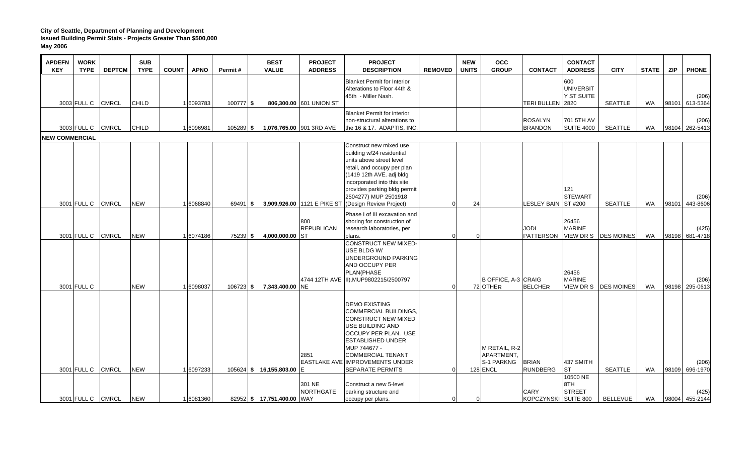| <b>APDEFN</b><br><b>KEY</b> | <b>WORK</b><br><b>TYPE</b> | <b>DEPTCM</b> | <b>SUB</b><br><b>TYPE</b> | <b>COUNT</b><br><b>APNO</b> | Permit#     | <b>BEST</b><br><b>VALUE</b> | <b>PROJECT</b><br><b>ADDRESS</b> | <b>PROJECT</b><br><b>DESCRIPTION</b>                                | <b>REMOVED</b> | <b>NEW</b><br><b>UNITS</b> | <b>OCC</b><br><b>GROUP</b> | <b>CONTACT</b>                  | <b>CONTACT</b><br><b>ADDRESS</b> | <b>CITY</b>            | <b>STATE</b> | <b>ZIP</b> | <b>PHONE</b>            |
|-----------------------------|----------------------------|---------------|---------------------------|-----------------------------|-------------|-----------------------------|----------------------------------|---------------------------------------------------------------------|----------------|----------------------------|----------------------------|---------------------------------|----------------------------------|------------------------|--------------|------------|-------------------------|
|                             |                            |               |                           |                             |             |                             |                                  | <b>Blanket Permit for Interior</b>                                  |                |                            |                            |                                 | 600                              |                        |              |            |                         |
|                             |                            |               |                           |                             |             |                             |                                  | Alterations to Floor 44th &                                         |                |                            |                            |                                 | <b>UNIVERSIT</b>                 |                        |              |            |                         |
|                             |                            |               |                           |                             |             |                             |                                  | 45th - Miller Nash.                                                 |                |                            |                            |                                 | Y ST SUITE                       |                        |              |            | (206)                   |
|                             | 3003 FULL C CMRCL          |               | <b>CHILD</b>              | 1 6093783                   | 100777 \$   |                             | 806,300.00 601 UNION ST          |                                                                     |                |                            |                            | TERI BULLEN 2820                |                                  | <b>SEATTLE</b>         | <b>WA</b>    | 98101      | 613-5364                |
|                             |                            |               |                           |                             |             |                             |                                  | <b>Blanket Permit for interior</b><br>non-structural alterations to |                |                            |                            | <b>ROSALYN</b>                  | 701 5TH AV                       |                        |              |            | (206)                   |
|                             | 3003 FULL C                | <b>CMRCL</b>  | <b>CHILD</b>              | 1 6096981                   | 105289 \$   |                             | 1,076,765.00 901 3RD AVE         | the 16 & 17. ADAPTIS, INC.                                          |                |                            |                            | <b>BRANDON</b>                  | <b>SUITE 4000</b>                | SEATTLE                | WA           |            | 98104 262-5413          |
| <b>NEW COMMERCIAL</b>       |                            |               |                           |                             |             |                             |                                  |                                                                     |                |                            |                            |                                 |                                  |                        |              |            |                         |
|                             |                            |               |                           |                             |             |                             |                                  | Construct new mixed use                                             |                |                            |                            |                                 |                                  |                        |              |            |                         |
|                             |                            |               |                           |                             |             |                             |                                  | building w/24 residential                                           |                |                            |                            |                                 |                                  |                        |              |            |                         |
|                             |                            |               |                           |                             |             |                             |                                  | units above street level                                            |                |                            |                            |                                 |                                  |                        |              |            |                         |
|                             |                            |               |                           |                             |             |                             |                                  | retail, and occupy per plan                                         |                |                            |                            |                                 |                                  |                        |              |            |                         |
|                             |                            |               |                           |                             |             |                             |                                  | (1419 12th AVE. adj bldg                                            |                |                            |                            |                                 |                                  |                        |              |            |                         |
|                             |                            |               |                           |                             |             |                             |                                  | incorporated into this site<br>provides parking bldg permit         |                |                            |                            |                                 | 121                              |                        |              |            |                         |
|                             |                            |               |                           |                             |             |                             |                                  | 2504277) MUP 2501918                                                |                |                            |                            |                                 | <b>STEWART</b>                   |                        |              |            | (206)                   |
|                             | 3001 FULL C CMRCL          |               | <b>NEW</b>                | 1 6068840                   | $69491$ \$  |                             |                                  | 3,909,926.00 1121 E PIKE ST (Design Review Project)                 | U              | 24                         |                            | LESLEY BAIN ST #200             |                                  | <b>SEATTLE</b>         | WA           | 98101      | 443-8606                |
|                             |                            |               |                           |                             |             |                             |                                  | Phase I of III excavation and                                       |                |                            |                            |                                 |                                  |                        |              |            |                         |
|                             |                            |               |                           |                             |             |                             | 800                              | shoring for construction of                                         |                |                            |                            |                                 | 26456                            |                        |              |            |                         |
|                             |                            |               |                           |                             |             |                             | <b>REPUBLICAN</b>                | research laboratories, per                                          |                |                            |                            | <b>IODL</b>                     | <b>MARINE</b>                    |                        |              |            | (425)                   |
|                             | 3001 FULL C CMRCL          |               | <b>NEW</b>                | 1 6074186                   | 75239 \$    | 4,000,000.00 ST             |                                  | plans.                                                              | n              | $\Omega$                   |                            | <b>PATTERSON</b>                |                                  | VIEW DR S   DES MOINES | WA           |            | 98198 681-4718          |
|                             |                            |               |                           |                             |             |                             |                                  | CONSTRUCT NEW MIXED-                                                |                |                            |                            |                                 |                                  |                        |              |            |                         |
|                             |                            |               |                           |                             |             |                             |                                  | USE BLDG W/<br>UNDERGROUND PARKING                                  |                |                            |                            |                                 |                                  |                        |              |            |                         |
|                             |                            |               |                           |                             |             |                             |                                  | AND OCCUPY PER                                                      |                |                            |                            |                                 |                                  |                        |              |            |                         |
|                             |                            |               |                           |                             |             |                             |                                  | PLAN(PHASE                                                          |                |                            |                            |                                 | 26456                            |                        |              |            |                         |
|                             |                            |               |                           |                             |             |                             |                                  | 4744 12TH AVE II), MUP9802215/2500797                               |                |                            | B OFFICE, A-3 CRAIG        |                                 | <b>MARINE</b>                    |                        |              |            | (206)                   |
|                             | 3001 FULL C                |               | <b>NEW</b>                | 1 6098037                   | $106723$ \$ | 7,343,400.00 NE             |                                  |                                                                     | U              |                            | 72 OTHER                   | <b>BELCHER</b>                  |                                  | VIEW DR S   DES MOINES | WA           |            | 98198 295-0613          |
|                             |                            |               |                           |                             |             |                             |                                  |                                                                     |                |                            |                            |                                 |                                  |                        |              |            |                         |
|                             |                            |               |                           |                             |             |                             |                                  | <b>DEMO EXISTING</b>                                                |                |                            |                            |                                 |                                  |                        |              |            |                         |
|                             |                            |               |                           |                             |             |                             |                                  | COMMERCIAL BUILDINGS,                                               |                |                            |                            |                                 |                                  |                        |              |            |                         |
|                             |                            |               |                           |                             |             |                             |                                  | CONSTRUCT NEW MIXED<br><b>USE BUILDING AND</b>                      |                |                            |                            |                                 |                                  |                        |              |            |                         |
|                             |                            |               |                           |                             |             |                             |                                  | <b>OCCUPY PER PLAN. USE</b>                                         |                |                            |                            |                                 |                                  |                        |              |            |                         |
|                             |                            |               |                           |                             |             |                             |                                  | <b>ESTABLISHED UNDER</b>                                            |                |                            |                            |                                 |                                  |                        |              |            |                         |
|                             |                            |               |                           |                             |             |                             |                                  | MUP 744677 -                                                        |                |                            | M RETAIL, R-2              |                                 |                                  |                        |              |            |                         |
|                             |                            |               |                           |                             |             |                             | 2851                             | <b>COMMERCIAL TENANT</b>                                            |                |                            | APARTMENT.                 |                                 |                                  |                        |              |            |                         |
|                             | 3001 FULL C                | <b>CMRCL</b>  | <b>NEW</b>                | 1 6097233                   |             | 105624 \$ 16,155,803.00 E   |                                  | <b>EASTLAKE AVE IMPROVEMENTS UNDER</b><br><b>SEPARATE PERMITS</b>   | O              |                            | S-1 PARKNG<br>128 ENCL     | <b>BRIAN</b><br><b>RUNDBERG</b> | 437 SMITH<br><b>ST</b>           | <b>SEATTLE</b>         | WA           |            | (206)<br>98109 696-1970 |
|                             |                            |               |                           |                             |             |                             |                                  |                                                                     |                |                            |                            |                                 | 10500 NE                         |                        |              |            |                         |
|                             |                            |               |                           |                             |             |                             | 301 NE                           | Construct a new 5-level                                             |                |                            |                            |                                 | 8TH                              |                        |              |            |                         |
|                             |                            |               |                           |                             |             |                             | <b>NORTHGATE</b>                 | parking structure and                                               |                |                            |                            | <b>CARY</b>                     | <b>STREET</b>                    |                        |              |            | (425)                   |
|                             | 3001 FULL C CMRCL          |               | <b>NEW</b>                | 1 6081360                   |             | 82952 \$17,751,400.00 WAY   |                                  | occupy per plans.                                                   |                | $\Omega$                   |                            | KOPCZYNSKI SUITE 800            |                                  | <b>BELLEVUE</b>        | WA           |            | 98004 455-2144          |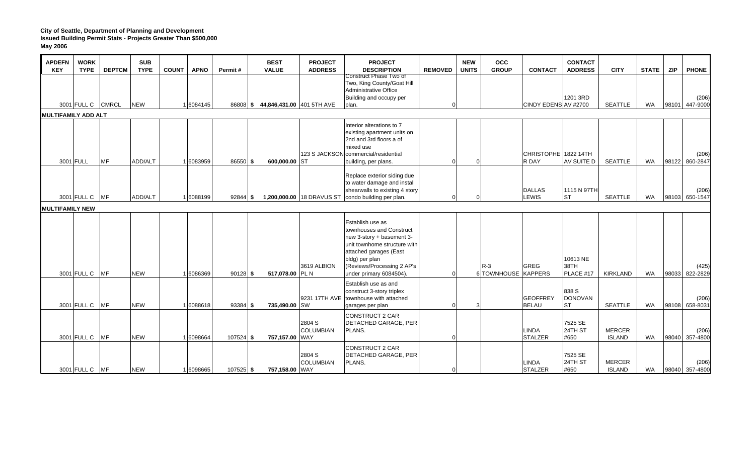| <b>APDEFN</b><br><b>KEY</b> | <b>WORK</b><br><b>TYPE</b> | <b>DEPTCM</b> | <b>SUB</b><br><b>TYPE</b> | <b>COUNT</b> | <b>APNO</b> | Permit#     | <b>BEST</b><br><b>VALUE</b>       | <b>PROJECT</b><br><b>ADDRESS</b> | <b>PROJECT</b><br><b>DESCRIPTION</b>                                                                                                                                                                           | <b>REMOVED</b> | <b>NEW</b><br><b>UNITS</b> | <b>OCC</b><br><b>GROUP</b>   | <b>CONTACT</b>                  | <b>CONTACT</b><br><b>ADDRESS</b>     | <b>CITY</b>                    | <b>STATE</b> | <b>ZIP</b> | <b>PHONE</b>            |
|-----------------------------|----------------------------|---------------|---------------------------|--------------|-------------|-------------|-----------------------------------|----------------------------------|----------------------------------------------------------------------------------------------------------------------------------------------------------------------------------------------------------------|----------------|----------------------------|------------------------------|---------------------------------|--------------------------------------|--------------------------------|--------------|------------|-------------------------|
|                             | 3001 FULL C CMRCL          |               | <b>NEW</b>                |              | 1 6084145   |             | 86808 \$44,846,431.00 401 5TH AVE |                                  | Construct Phase Two of<br>Two, King County/Goat Hill<br>Administrative Office<br>Building and occupy per<br>plan.                                                                                              | 0              |                            |                              | CINDY EDENS AV #2700            | 1201 3RD                             | <b>SEATTLE</b>                 | WA           |            | (206)<br>98101 447-9000 |
| <b>MULTIFAMILY ADD ALT</b>  |                            |               |                           |              |             |             |                                   |                                  |                                                                                                                                                                                                                |                |                            |                              |                                 |                                      |                                |              |            |                         |
|                             | 3001 FULL                  | <b>MF</b>     | ADD/ALT                   |              | 1 6083959   | 86550 \$    | 600,000.00 ST                     |                                  | Interior alterations to 7<br>existing apartment units on<br>2nd and 3rd floors a of<br>mixed use<br>123 S JACKSON commercial/residential<br>building, per plans.                                               | $\Omega$       | $\Omega$                   |                              | CHRISTOPHE 1822 14TH<br>R DAY   | AV SUITE D                           | <b>SEATTLE</b>                 | WA           |            | (206)<br>98122 860-2847 |
|                             | 3001 FULL C MF             |               | ADD/ALT                   |              | 1 6088199   | $92844$ \$  |                                   |                                  | Replace exterior siding due<br>to water damage and install<br>shearwalls to existing 4 story<br>1,200,000.00 18 DRAVUS ST condo building per plan.                                                             | 0              | $\Omega$                   |                              | <b>DALLAS</b><br><b>LEWIS</b>   | 1115 N 97TH<br><b>ST</b>             | <b>SEATTLE</b>                 | WA           |            | (206)<br>98103 650-1547 |
| <b>MULTIFAMILY NEW</b>      |                            |               |                           |              |             |             |                                   |                                  |                                                                                                                                                                                                                |                |                            |                              |                                 |                                      |                                |              |            |                         |
|                             | 3001 FULL C                | MF            | <b>NEW</b>                |              | 1 6086369   | $90128$ \$  | 517,078.00 PL N                   | 3619 ALBION                      | Establish use as<br>townhouses and Construct<br>new 3-story + basement 3-<br>unit townhome structure with<br>attached garages (East<br>bldg) per plan<br>(Reviews/Processing 2 AP's<br>under primary 6084504). | $\Omega$       |                            | $R-3$<br>6 TOWNHOUSE KAPPERS | <b>GREG</b>                     | 10613 NE<br>38TH<br>PLACE #17        | <b>KIRKLAND</b>                | WA           | 98033      | (425)<br>822-2829       |
|                             | 3001 FULL C                | MF            | <b>NEW</b>                |              | 1 6088618   | $93384$ \$  | 735,490.00 SW                     | 9231 17TH AVE                    | Establish use as and<br>construct 3-story triplex<br>townhouse with attached<br>garages per plan                                                                                                               | U              | 3                          |                              | <b>GEOFFREY</b><br><b>BELAU</b> | 838 S<br><b>DONOVAN</b><br><b>ST</b> | <b>SEATTLE</b>                 | <b>WA</b>    |            | (206)<br>98108 658-8031 |
|                             | 3001 FULL C                | <b>MF</b>     | <b>NEW</b>                |              | 1 6098664   | $107524$ \$ | 757,157.00 WAY                    | 2804 S<br><b>COLUMBIAN</b>       | <b>CONSTRUCT 2 CAR</b><br><b>DETACHED GARAGE, PER</b><br>PLANS.                                                                                                                                                | U              |                            |                              | <b>LINDA</b><br><b>STALZER</b>  | 7525 SE<br>24TH ST<br>#650           | <b>MERCER</b><br><b>ISLAND</b> | WA           |            | (206)<br>98040 357-4800 |
|                             | 3001 FULL C MF             |               | <b>NEW</b>                |              | 1 6098665   | $107525$ \$ | 757,158.00 WAY                    | 2804 S<br><b>COLUMBIAN</b>       | <b>CONSTRUCT 2 CAR</b><br><b>DETACHED GARAGE, PER</b><br>PLANS.                                                                                                                                                | $\Omega$       |                            |                              | LINDA<br><b>STALZER</b>         | 7525 SE<br>24TH ST<br>#650           | <b>MERCER</b><br><b>ISLAND</b> | WA           |            | (206)<br>98040 357-4800 |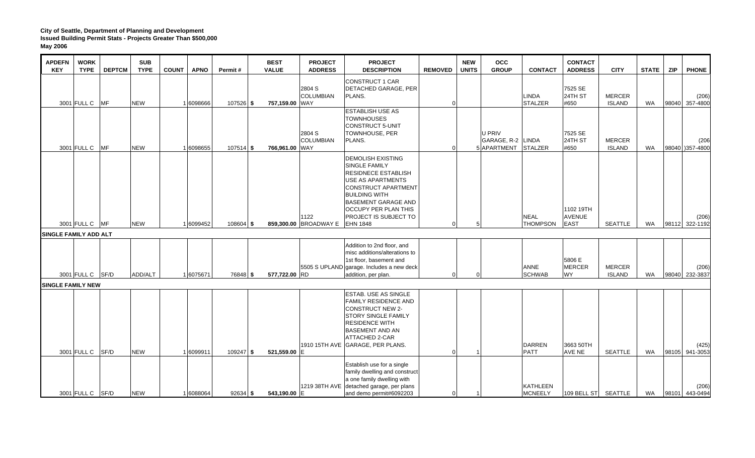| <b>APDEFN</b><br><b>KEY</b> | <b>WORK</b><br><b>TYPE</b>                   | <b>DEPTCM</b> | <b>SUB</b><br><b>TYPE</b> | <b>COUNT</b> | <b>APNO</b> | Permit#     | <b>BEST</b><br><b>VALUE</b> | <b>PROJECT</b><br><b>ADDRESS</b> | <b>PROJECT</b><br><b>DESCRIPTION</b>                                                                                                                                                                                                                                      | <b>REMOVED</b> | <b>NEW</b><br><b>UNITS</b> | <b>OCC</b><br><b>GROUP</b>                   | <b>CONTACT</b>                 | <b>CONTACT</b><br><b>ADDRESS</b>          | <b>CITY</b>                    | <b>STATE</b> | <b>ZIP</b> | <b>PHONE</b>            |
|-----------------------------|----------------------------------------------|---------------|---------------------------|--------------|-------------|-------------|-----------------------------|----------------------------------|---------------------------------------------------------------------------------------------------------------------------------------------------------------------------------------------------------------------------------------------------------------------------|----------------|----------------------------|----------------------------------------------|--------------------------------|-------------------------------------------|--------------------------------|--------------|------------|-------------------------|
|                             | 3001 FULL C                                  | <b>MF</b>     | <b>NEW</b>                |              | 1 6098666   | 107526 \$   | 757,159.00 WAY              | 2804 S<br><b>COLUMBIAN</b>       | <b>CONSTRUCT 1 CAR</b><br><b>DETACHED GARAGE, PER</b><br>PLANS.                                                                                                                                                                                                           | U              |                            |                                              | LINDA<br><b>STALZER</b>        | 7525 SE<br>24TH ST<br>#650                | <b>MERCER</b><br><b>ISLAND</b> | WA           |            | (206)<br>98040 357-4800 |
|                             | 3001 FULL C                                  | <b>IMF</b>    | <b>NEW</b>                |              | 1 6098655   | $107514$ \$ | 766,961.00 WAY              | 2804 S<br><b>COLUMBIAN</b>       | <b>ESTABLISH USE AS</b><br><b>TOWNHOUSES</b><br>CONSTRUCT 5-UNIT<br><b>TOWNHOUSE, PER</b><br>PLANS.                                                                                                                                                                       |                |                            | U PRIV<br>GARAGE, R-2<br>5 APARTMENT STALZER | LINDA                          | 7525 SE<br>24TH ST<br>#650                | <b>MERCER</b><br><b>ISLAND</b> | WA           |            | (206)<br>98040 357-4800 |
|                             | 3001 FULL C MF                               |               | <b>NEW</b>                |              | 1 6099452   | $108604$ \$ |                             | 1122<br>859,300.00 BROADWAY E    | <b>DEMOLISH EXISTING</b><br>SINGLE FAMILY<br><b>RESIDNECE ESTABLISH</b><br><b>USE AS APARTMENTS</b><br><b>CONSTRUCT APARTMENT</b><br><b>BUILDING WITH</b><br><b>BASEMENT GARAGE AND</b><br><b>OCCUPY PER PLAN THIS</b><br><b>PROJECT IS SUBJECT TO</b><br><b>EHN 1848</b> |                | 5                          |                                              | <b>NEAL</b><br><b>THOMPSON</b> | 1102 19TH<br><b>AVENUE</b><br><b>EAST</b> | SEATTLE                        | WA           |            | (206)<br>98112 322-1192 |
|                             | <b>SINGLE FAMILY ADD ALT</b>                 |               |                           |              |             |             |                             |                                  |                                                                                                                                                                                                                                                                           |                |                            |                                              |                                |                                           |                                |              |            |                         |
|                             | 3001 FULL C SF/D<br><b>SINGLE FAMILY NEW</b> |               | ADD/ALT                   |              | 1 6075671   | 76848 \$    | 577,722.00 RD               |                                  | Addition to 2nd floor, and<br>misc additions/alterations to<br>1st floor, basement and<br>5505 S UPLAND garage. Includes a new deck<br>addition, per plan.                                                                                                                | O              | $\Omega$                   |                                              | ANNE<br><b>SCHWAB</b>          | 5806 E<br><b>MERCER</b><br><b>WY</b>      | <b>MERCER</b><br><b>ISLAND</b> | <b>WA</b>    |            | (206)<br>98040 232-3837 |
|                             | 3001 FULL C                                  | SF/D          | <b>NEW</b>                |              | 1 6099911   | $109247$ \$ | 521,559.00 E                |                                  | <b>ESTAB. USE AS SINGLE</b><br><b>FAMILY RESIDENCE AND</b><br>CONSTRUCT NEW 2-<br><b>STORY SINGLE FAMILY</b><br><b>RESIDENCE WITH</b><br><b>BASEMENT AND AN</b><br><b>ATTACHED 2-CAR</b><br>1910 15TH AVE GARAGE, PER PLANS.                                              | O              |                            |                                              | <b>DARREN</b><br><b>PATT</b>   | 3663 50TH<br>AVE NE                       | <b>SEATTLE</b>                 | <b>WA</b>    |            | (425)<br>98105 941-3053 |
|                             | 3001 FULL C SF/D                             |               | <b>NEW</b>                |              | 1 6088064   | $92634$ \$  | 543,190.00 E                |                                  | Establish use for a single<br>family dwelling and construct<br>a one family dwelling with<br>1219 38TH AVE detached garage, per plans<br>and demo permit#6092203                                                                                                          | <sup>0</sup>   |                            |                                              | KATHLEEN<br><b>MCNEELY</b>     | 109 BELL ST SEATTLE                       |                                | WA           |            | (206)<br>98101 443-0494 |